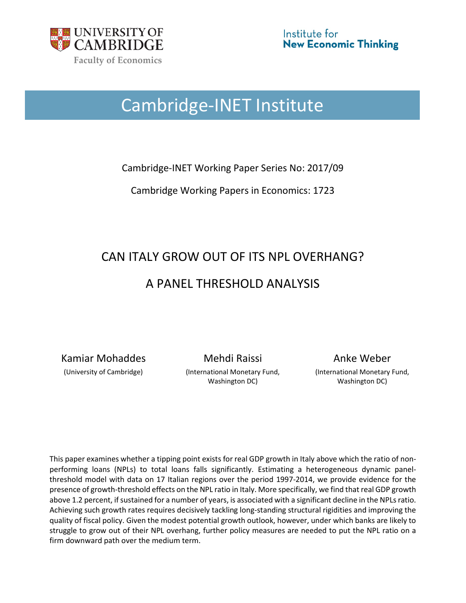

## Cambridge-INET Institute

Cambridge-INET Working Paper Series No: 2017/09

Cambridge Working Papers in Economics: 1723

# CAN ITALY GROW OUT OF ITS NPL OVERHANG? A PANEL THRESHOLD ANALYSIS

Kamiar Mohaddes **Mehdi Raissi** Anke Weber

(University of Cambridge) (International Monetary Fund, Washington DC)

(International Monetary Fund, Washington DC)

This paper examines whether a tipping point exists for real GDP growth in Italy above which the ratio of nonperforming loans (NPLs) to total loans falls significantly. Estimating a heterogeneous dynamic panelthreshold model with data on 17 Italian regions over the period 1997-2014, we provide evidence for the presence of growth-threshold effects on the NPL ratio in Italy. More specifically, we find that real GDP growth above 1.2 percent, if sustained for a number of years, is associated with a significant decline in the NPLsratio. Achieving such growth rates requires decisively tackling long-standing structural rigidities and improving the quality of fiscal policy. Given the modest potential growth outlook, however, under which banks are likely to struggle to grow out of their NPL overhang, further policy measures are needed to put the NPL ratio on a firm downward path over the medium term.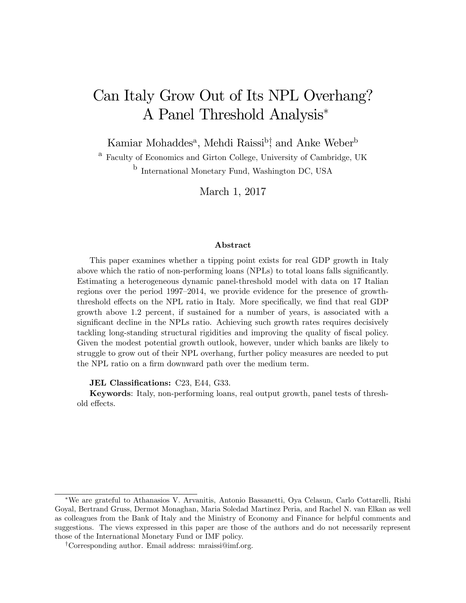## <span id="page-1-0"></span>Can Italy Grow Out of Its NPL Overhang? A Panel Threshold Analysis

Kamiar Mohaddes<sup>a</sup>, Mehdi Raissi<sup>b</sup><sup>†</sup>, and Anke Weber<sup>b</sup>

<sup>a</sup> Faculty of Economics and Girton College, University of Cambridge, UK <sup>b</sup> International Monetary Fund, Washington DC, USA

March 1, 2017

#### Abstract

This paper examines whether a tipping point exists for real GDP growth in Italy above which the ratio of non-performing loans (NPLs) to total loans falls significantly. Estimating a heterogeneous dynamic panel-threshold model with data on 17 Italian regions over the period  $1997-2014$ , we provide evidence for the presence of growththreshold effects on the NPL ratio in Italy. More specifically, we find that real GDP growth above 1.2 percent, if sustained for a number of years, is associated with a significant decline in the NPLs ratio. Achieving such growth rates requires decisively tackling long-standing structural rigidities and improving the quality of fiscal policy. Given the modest potential growth outlook, however, under which banks are likely to struggle to grow out of their NPL overhang, further policy measures are needed to put the NPL ratio on a firm downward path over the medium term.

**JEL Classifications:** C23, E44, G33.

Keywords: Italy, non-performing loans, real output growth, panel tests of threshold effects.

We are grateful to Athanasios V. Arvanitis, Antonio Bassanetti, Oya Celasun, Carlo Cottarelli, Rishi Goyal, Bertrand Gruss, Dermot Monaghan, Maria Soledad Martinez Peria, and Rachel N. van Elkan as well as colleagues from the Bank of Italy and the Ministry of Economy and Finance for helpful comments and suggestions. The views expressed in this paper are those of the authors and do not necessarily represent those of the International Monetary Fund or IMF policy.

<sup>&</sup>lt;sup>†</sup>Corresponding author. Email address: mraissi@imf.org.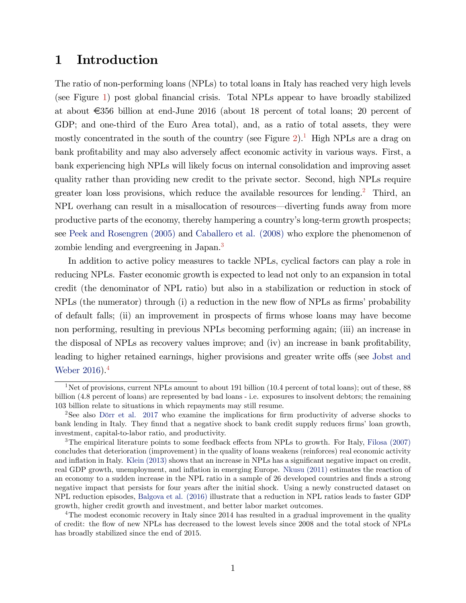### <span id="page-2-0"></span>1 Introduction

The ratio of non-performing loans (NPLs) to total loans in Italy has reached very high levels (see Figure [1\)](#page-3-0) post global Önancial crisis. Total NPLs appear to have broadly stabilized at about  $\epsilon$ 356 billion at end-June 2016 (about 18 percent of total loans; 20 percent of GDP; and one-third of the Euro Area total), and, as a ratio of total assets, they were mostly concentrated in the south of the country (see Figure  $2$ ).<sup>[1](#page-1-0)</sup> High NPLs are a drag on bank profitability and may also adversely affect economic activity in various ways. First, a bank experiencing high NPLs will likely focus on internal consolidation and improving asset quality rather than providing new credit to the private sector. Second, high NPLs require greater loan loss provisions, which reduce the available resources for lending.<sup>[2](#page-1-0)</sup> Third, an NPL overhang can result in a misallocation of resources—diverting funds away from more productive parts of the economy, thereby hampering a countryís long-term growth prospects; see [Peek and Rosengren \(2005\)](#page-15-0) and [Caballero et al. \(2008\)](#page-14-0) who explore the phenomenon of zombie lending and evergreening in Japan.<sup>[3](#page-1-0)</sup>

In addition to active policy measures to tackle NPLs, cyclical factors can play a role in reducing NPLs. Faster economic growth is expected to lead not only to an expansion in total credit (the denominator of NPL ratio) but also in a stabilization or reduction in stock of  $NPLs$  (the numerator) through (i) a reduction in the new flow of  $NPLs$  as firms' probability of default falls; (ii) an improvement in prospects of Örms whose loans may have become non performing, resulting in previous NPLs becoming performing again; (iii) an increase in the disposal of NPLs as recovery values improve; and  $(iv)$  an increase in bank profitability, leading to higher retained earnings, higher provisions and greater write offs (see [Jobst and](#page-15-1) [Weber 2016\)](#page-15-1).<sup>[4](#page-1-0)</sup>

<sup>&</sup>lt;sup>1</sup>Net of provisions, current NPLs amount to about 191 billion (10.4 percent of total loans); out of these, 88 billion (4.8 percent of loans) are represented by bad loans - i.e. exposures to insolvent debtors; the remaining 103 billion relate to situations in which repayments may still resume.

<sup>&</sup>lt;sup>2</sup>See also Dörr et al. 2017 who examine the implications for firm productivity of adverse shocks to bank lending in Italy. They finnd that a negative shock to bank credit supply reduces firms' loan growth, investment, capital-to-labor ratio, and productivity.

 $3$ The empirical literature points to some feedback effects from NPLs to growth. For Italy, [Filosa \(2007\)](#page-14-2) concludes that deterioration (improvement) in the quality of loans weakens (reinforces) real economic activity and inflation in Italy. [Klein \(2013\)](#page-15-2) shows that an increase in NPLs has a significant negative impact on credit, real GDP growth, unemployment, and inflation in emerging Europe. [Nkusu \(2011\)](#page-15-3) estimates the reaction of an economy to a sudden increase in the NPL ratio in a sample of 26 developed countries and finds a strong negative impact that persists for four years after the initial shock. Using a newly constructed dataset on NPL reduction episodes, [Balgova et al. \(2016\)](#page-14-3) illustrate that a reduction in NPL ratios leads to faster GDP growth, higher credit growth and investment, and better labor market outcomes.

<sup>&</sup>lt;sup>4</sup>The modest economic recovery in Italy since 2014 has resulted in a gradual improvement in the quality of credit: the áow of new NPLs has decreased to the lowest levels since 2008 and the total stock of NPLs has broadly stabilized since the end of 2015.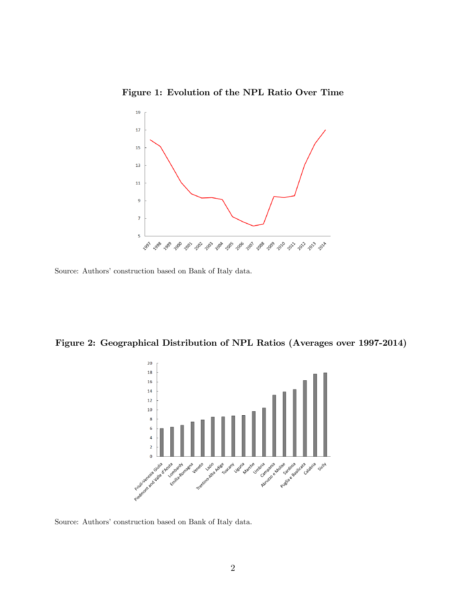<span id="page-3-0"></span>Figure 1: Evolution of the NPL Ratio Over Time



Source: Authors' construction based on Bank of Italy data.

Figure 2: Geographical Distribution of NPL Ratios (Averages over 1997-2014)

<span id="page-3-1"></span>

Source: Authors' construction based on Bank of Italy data.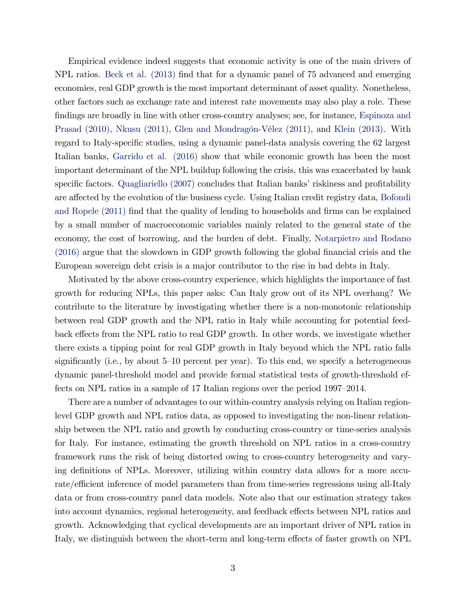Empirical evidence indeed suggests that economic activity is one of the main drivers of NPL ratios. [Beck et al. \(2013\)](#page-14-4) find that for a dynamic panel of 75 advanced and emerging economies, real GDP growth is the most important determinant of asset quality. Nonetheless, other factors such as exchange rate and interest rate movements may also play a role. These findings are broadly in line with other cross-country analyses; see, for instance, [Espinoza and](#page-14-5) [Prasad \(2010\),](#page-14-5) [Nkusu \(2011\),](#page-15-3) Glen and Mondragón-Vélez (2011), and [Klein \(2013\).](#page-15-2) With regard to Italy-specific studies, using a dynamic panel-data analysis covering the 62 largest Italian banks, [Garrido et al. \(2016\)](#page-14-6) show that while economic growth has been the most important determinant of the NPL buildup following the crisis, this was exacerbated by bank specific factors. [Quagliariello \(2007\)](#page-15-5) concludes that Italian banks' riskiness and profitability are affected by the evolution of the business cycle. Using Italian credit registry data, [Bofondi](#page-14-7) [and Ropele \(2011\)](#page-14-7) find that the quality of lending to households and firms can be explained by a small number of macroeconomic variables mainly related to the general state of the economy, the cost of borrowing, and the burden of debt. Finally, [Notarpietro and Rodano](#page-15-6) [\(2016\)](#page-15-6) argue that the slowdown in GDP growth following the global Önancial crisis and the European sovereign debt crisis is a major contributor to the rise in bad debts in Italy.

Motivated by the above cross-country experience, which highlights the importance of fast growth for reducing NPLs, this paper asks: Can Italy grow out of its NPL overhang? We contribute to the literature by investigating whether there is a non-monotonic relationship between real GDP growth and the NPL ratio in Italy while accounting for potential feedback effects from the NPL ratio to real GDP growth. In other words, we investigate whether there exists a tipping point for real GDP growth in Italy beyond which the NPL ratio falls significantly (i.e., by about  $5-10$  percent per year). To this end, we specify a heterogeneous dynamic panel-threshold model and provide formal statistical tests of growth-threshold effects on NPL ratios in a sample of 17 Italian regions over the period 1997–2014.

There are a number of advantages to our within-country analysis relying on Italian regionlevel GDP growth and NPL ratios data, as opposed to investigating the non-linear relationship between the NPL ratio and growth by conducting cross-country or time-series analysis for Italy. For instance, estimating the growth threshold on NPL ratios in a cross-country framework runs the risk of being distorted owing to cross-country heterogeneity and varying definitions of NPLs. Moreover, utilizing within country data allows for a more accurate/efficient inference of model parameters than from time-series regressions using all-Italy data or from cross-country panel data models. Note also that our estimation strategy takes into account dynamics, regional heterogeneity, and feedback effects between NPL ratios and growth. Acknowledging that cyclical developments are an important driver of NPL ratios in Italy, we distinguish between the short-term and long-term effects of faster growth on NPL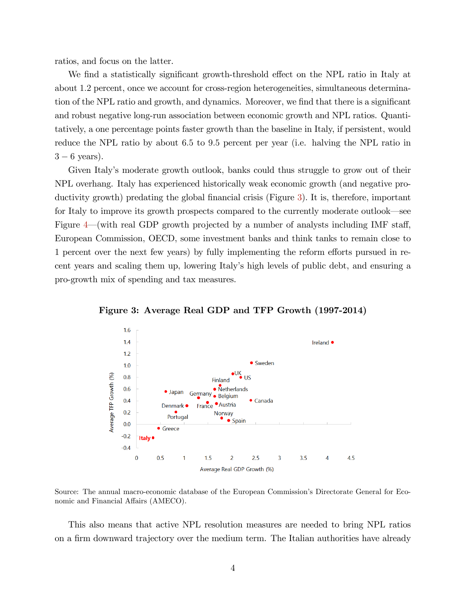ratios, and focus on the latter.

We find a statistically significant growth-threshold effect on the NPL ratio in Italy at about 1:2 percent, once we account for cross-region heterogeneities, simultaneous determination of the NPL ratio and growth, and dynamics. Moreover, we find that there is a significant and robust negative long-run association between economic growth and NPL ratios. Quantitatively, a one percentage points faster growth than the baseline in Italy, if persistent, would reduce the NPL ratio by about 6.5 to 9.5 percent per year (i.e. halving the NPL ratio in  $3 - 6$  years).

Given Italyís moderate growth outlook, banks could thus struggle to grow out of their NPL overhang. Italy has experienced historically weak economic growth (and negative pro-ductivity growth) predating the global financial crisis (Figure [3\)](#page-5-0). It is, therefore, important for Italy to improve its growth prospects compared to the currently moderate outlook—see Figure  $4$ —(with real GDP growth projected by a number of analysts including IMF staff, European Commission, OECD, some investment banks and think tanks to remain close to 1 percent over the next few years) by fully implementing the reform efforts pursued in recent years and scaling them up, lowering Italyís high levels of public debt, and ensuring a pro-growth mix of spending and tax measures.



<span id="page-5-0"></span>Figure 3: Average Real GDP and TFP Growth (1997-2014)

Source: The annual macro-economic database of the European Commission's Directorate General for Economic and Financial Affairs (AMECO).

This also means that active NPL resolution measures are needed to bring NPL ratios on a firm downward trajectory over the medium term. The Italian authorities have already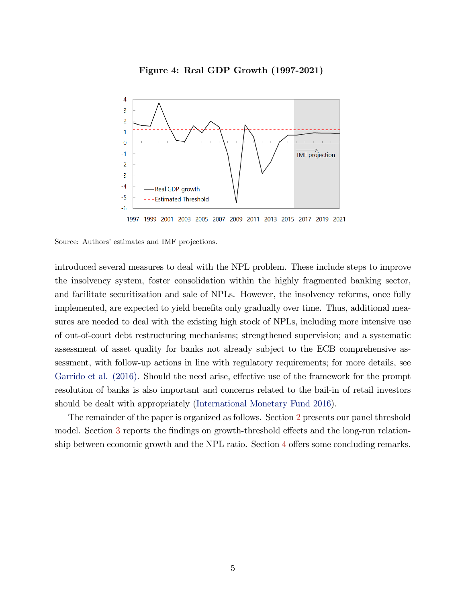<span id="page-6-0"></span>



1997 1999 2001 2003 2005 2007 2009 2011 2013 2015 2017 2019 2021

Source: Authors' estimates and IMF projections.

introduced several measures to deal with the NPL problem. These include steps to improve the insolvency system, foster consolidation within the highly fragmented banking sector, and facilitate securitization and sale of NPLs. However, the insolvency reforms, once fully implemented, are expected to yield benefits only gradually over time. Thus, additional measures are needed to deal with the existing high stock of NPLs, including more intensive use of out-of-court debt restructuring mechanisms; strengthened supervision; and a systematic assessment of asset quality for banks not already subject to the ECB comprehensive assessment, with follow-up actions in line with regulatory requirements; for more details, see [Garrido et al. \(2016\).](#page-14-6) Should the need arise, effective use of the framework for the prompt resolution of banks is also important and concerns related to the bail-in of retail investors should be dealt with appropriately [\(International Monetary Fund 2016\)](#page-15-7).

The remainder of the paper is organized as follows. Section [2](#page-7-0) presents our panel threshold model. Section [3](#page-9-0) reports the findings on growth-threshold effects and the long-run relationship between economic growth and the NPL ratio. Section  $4$  offers some concluding remarks.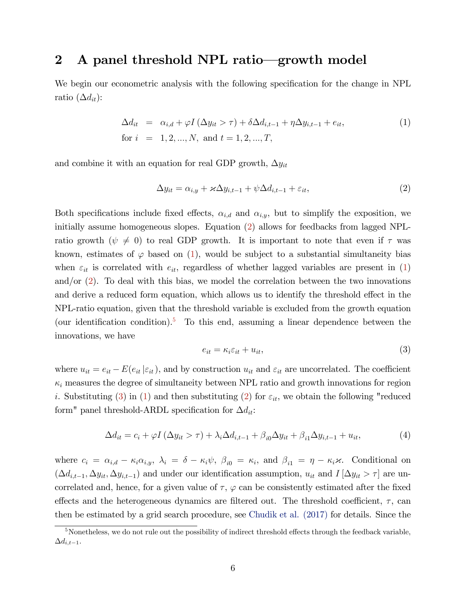## <span id="page-7-0"></span>2 A panel threshold NPL ratio—growth model

We begin our econometric analysis with the following specification for the change in NPL ratio  $(\Delta d_{it})$ :

<span id="page-7-2"></span>
$$
\Delta d_{it} = \alpha_{i,d} + \varphi I (\Delta y_{it} > \tau) + \delta \Delta d_{i,t-1} + \eta \Delta y_{i,t-1} + e_{it},
$$
  
for  $i = 1, 2, ..., N$ , and  $t = 1, 2, ..., T$ , (1)

and combine it with an equation for real GDP growth,  $\Delta y_{it}$ 

<span id="page-7-1"></span>
$$
\Delta y_{it} = \alpha_{i,y} + \varkappa \Delta y_{i,t-1} + \psi \Delta d_{i,t-1} + \varepsilon_{it},\tag{2}
$$

Both specifications include fixed effects,  $\alpha_{i,d}$  and  $\alpha_{i,y}$ , but to simplify the exposition, we initially assume homogeneous slopes. Equation [\(2\)](#page-7-1) allows for feedbacks from lagged NPLratio growth ( $\psi \neq 0$ ) to real GDP growth. It is important to note that even if  $\tau$  was known, estimates of  $\varphi$  based on [\(1\)](#page-7-2), would be subject to a substantial simultaneity bias when  $\varepsilon_{it}$  is correlated with  $e_{it}$ , regardless of whether lagged variables are present in [\(1\)](#page-7-2) and/or [\(2\)](#page-7-1). To deal with this bias, we model the correlation between the two innovations and derive a reduced form equation, which allows us to identify the threshold effect in the NPL-ratio equation, given that the threshold variable is excluded from the growth equation (our identification condition).<sup>[5](#page-1-0)</sup> To this end, assuming a linear dependence between the innovations, we have

<span id="page-7-3"></span>
$$
e_{it} = \kappa_i \varepsilon_{it} + u_{it},\tag{3}
$$

where  $u_{it} = e_{it} - E(e_{it} | \varepsilon_{it})$ , and by construction  $u_{it}$  and  $\varepsilon_{it}$  are uncorrelated. The coefficient  $\kappa_i$  measures the degree of simultaneity between NPL ratio and growth innovations for region *i*. Substituting [\(3\)](#page-7-3) in [\(1\)](#page-7-2) and then substituting [\(2\)](#page-7-1) for  $\varepsilon_{it}$ , we obtain the following "reduced form" panel threshold-ARDL specification for  $\Delta d_{it}$ :

<span id="page-7-4"></span>
$$
\Delta d_{it} = c_i + \varphi I \left( \Delta y_{it} > \tau \right) + \lambda_i \Delta d_{i,t-1} + \beta_{i0} \Delta y_{it} + \beta_{i1} \Delta y_{i,t-1} + u_{it},\tag{4}
$$

where  $c_i = \alpha_{i,d} - \kappa_i \alpha_{i,y}$ ,  $\lambda_i = \delta - \kappa_i \psi$ ,  $\beta_{i0} = \kappa_i$ , and  $\beta_{i1} = \eta - \kappa_i \varkappa$ . Conditional on  $(\Delta d_{i,t-1}, \Delta y_{it}, \Delta y_{i,t-1})$  and under our identification assumption,  $u_{it}$  and  $I[\Delta y_{it} > \tau]$  are uncorrelated and, hence, for a given value of  $\tau$ ,  $\varphi$  can be consistently estimated after the fixed effects and the heterogeneous dynamics are filtered out. The threshold coefficient,  $\tau$ , can then be estimated by a grid search procedure, see [Chudik et al. \(2017\)](#page-14-8) for details. Since the

 $5$ Nonetheless, we do not rule out the possibility of indirect threshold effects through the feedback variable,  $\Delta d_{i,t-1}$ .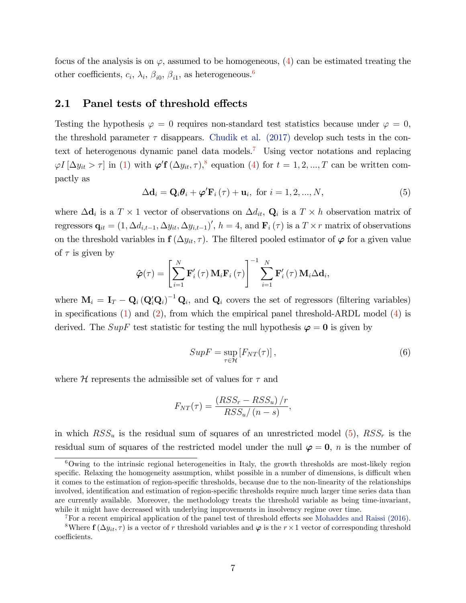focus of the analysis is on  $\varphi$ , assumed to be homogeneous, [\(4\)](#page-7-4) can be estimated treating the other coefficients,  $c_i$ ,  $\lambda_i$ ,  $\beta_{i0}$ ,  $\beta_{i1}$ , as heterogeneous.<sup>[6](#page-1-0)</sup>

#### 2.1 Panel tests of threshold effects

Testing the hypothesis  $\varphi = 0$  requires non-standard test statistics because under  $\varphi = 0$ , the threshold parameter  $\tau$  disappears. [Chudik et al. \(2017\)](#page-14-8) develop such tests in the con-text of heterogenous dynamic panel data models.<sup>[7](#page-1-0)</sup> Using vector notations and replacing  $\varphi I\left[\Delta y_{it} > \tau\right]$  in [\(1\)](#page-7-2) with  $\varphi'$ **f**  $(\Delta y_{it}, \tau)$ ,<sup>[8](#page-1-0)</sup> equation [\(4\)](#page-7-4) for  $t = 1, 2, ..., T$  can be written compactly as

<span id="page-8-0"></span>
$$
\Delta \mathbf{d}_{i} = \mathbf{Q}_{i} \boldsymbol{\theta}_{i} + \boldsymbol{\varphi}^{\prime} \mathbf{F}_{i} \left( \tau \right) + \mathbf{u}_{i}, \text{ for } i = 1, 2, ..., N,
$$
\n
$$
\tag{5}
$$

where  $\Delta \mathbf{d}_i$  is a  $T \times 1$  vector of observations on  $\Delta d_{it}$ ,  $\mathbf{Q}_i$  is a  $T \times h$  observation matrix of regressors  $\mathbf{q}_{it} = (1, \Delta d_{i,t-1}, \Delta y_{it}, \Delta y_{i,t-1})'$ ,  $h = 4$ , and  $\mathbf{F}_i(\tau)$  is a  $T \times r$  matrix of observations on the threshold variables in  $f(\Delta y_{it}, \tau)$ . The filtered pooled estimator of  $\varphi$  for a given value of  $\tau$  is given by

$$
\hat{\boldsymbol{\varphi}}(\tau) = \left[ \sum_{i=1}^{N} \mathbf{F}'_i(\tau) \, \mathbf{M}_i \mathbf{F}_i(\tau) \right]^{-1} \sum_{i=1}^{N} \mathbf{F}'_i(\tau) \, \mathbf{M}_i \Delta \mathbf{d}_i,
$$

where  $\mathbf{M}_i = \mathbf{I}_T - \mathbf{Q}_i (\mathbf{Q}_i' \mathbf{Q}_i)^{-1} \mathbf{Q}_i$ , and  $\mathbf{Q}_i$  covers the set of regressors (filtering variables) in specifications  $(1)$  and  $(2)$ , from which the empirical panel threshold-ARDL model  $(4)$  is derived. The SupF test statistic for testing the null hypothesis  $\varphi = 0$  is given by

<span id="page-8-1"></span>
$$
SupF = \sup_{\tau \in \mathcal{H}} [F_{NT}(\tau)], \qquad (6)
$$

where  $H$  represents the admissible set of values for  $\tau$  and

$$
F_{NT}(\tau) = \frac{(RSS_r - RSS_u)/r}{RSS_u/(n-s)},
$$

in which  $RSS_u$  is the residual sum of squares of an unrestricted model [\(5\)](#page-8-0),  $RSS_r$  is the residual sum of squares of the restricted model under the null  $\varphi = 0$ , n is the number of

<sup>6</sup>Owing to the intrinsic regional heterogeneities in Italy, the growth thresholds are most-likely region specific. Relaxing the homogeneity assumption, whilst possible in a number of dimensions, is difficult when it comes to the estimation of region-specific thresholds, because due to the non-linearity of the relationships involved, identification and estimation of region-specific thresholds require much larger time series data than are currently available. Moreover, the methodology treats the threshold variable as being time-invariant, while it might have decreased with underlying improvements in insolvency regime over time.

<sup>&</sup>lt;sup>7</sup>For a recent empirical application of the panel test of threshold effects see [Mohaddes and Raissi \(2016\).](#page-15-8)

<sup>&</sup>lt;sup>8</sup>Where  $f(\Delta y_{it}, \tau)$  is a vector of r threshold variables and  $\varphi$  is the  $r \times 1$  vector of corresponding threshold coefficients.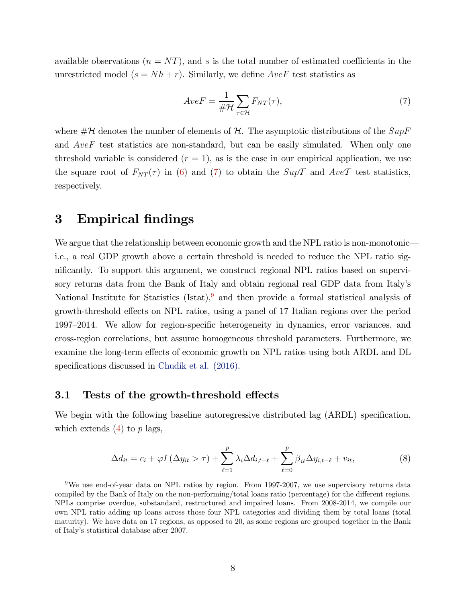available observations ( $n = NT$ ), and s is the total number of estimated coefficients in the unrestricted model  $(s = Nh + r)$ . Similarly, we define  $AveF$  test statistics as

<span id="page-9-1"></span>
$$
AveF = \frac{1}{\#\mathcal{H}} \sum_{\tau \in \mathcal{H}} F_{NT}(\tau),\tag{7}
$$

where  $\#\mathcal{H}$  denotes the number of elements of  $\mathcal{H}$ . The asymptotic distributions of the  $SupF$ and AveF test statistics are non-standard, but can be easily simulated. When only one threshold variable is considered  $(r = 1)$ , as is the case in our empirical application, we use the square root of  $F_{NT}(\tau)$  in [\(6\)](#page-8-1) and [\(7\)](#page-9-1) to obtain the  $Sup\mathcal{T}$  and  $Ave\mathcal{T}$  test statistics, respectively.

### <span id="page-9-0"></span>3 Empirical findings

We argue that the relationship between economic growth and the NPL ratio is non-monotonici.e., a real GDP growth above a certain threshold is needed to reduce the NPL ratio significantly. To support this argument, we construct regional NPL ratios based on supervisory returns data from the Bank of Italy and obtain regional real GDP data from Italyís National Institute for Statistics  $(Istat),<sup>9</sup>$  $(Istat),<sup>9</sup>$  $(Istat),<sup>9</sup>$  and then provide a formal statistical analysis of growth-threshold effects on NPL ratios, using a panel of 17 Italian regions over the period 1997–2014. We allow for region-specific heterogeneity in dynamics, error variances, and cross-region correlations, but assume homogeneous threshold parameters. Furthermore, we examine the long-term effects of economic growth on NPL ratios using both ARDL and DL specifications discussed in [Chudik et al. \(2016\).](#page-14-9)

#### 3.1 Tests of the growth-threshold effects

We begin with the following baseline autoregressive distributed lag (ARDL) specification, which extends  $(4)$  to p lags,

<span id="page-9-2"></span>
$$
\Delta d_{it} = c_i + \varphi I \left( \Delta y_{it} > \tau \right) + \sum_{\ell=1}^p \lambda_i \Delta d_{i,t-\ell} + \sum_{\ell=0}^p \beta_{i\ell} \Delta y_{i,t-\ell} + v_{it}, \tag{8}
$$

<sup>&</sup>lt;sup>9</sup>We use end-of-year data on NPL ratios by region. From 1997-2007, we use supervisory returns data compiled by the Bank of Italy on the non-performing/total loans ratio (percentage) for the different regions. NPLs comprise overdue, substandard, restructured and impaired loans. From 2008-2014, we compile our own NPL ratio adding up loans across those four NPL categories and dividing them by total loans (total maturity). We have data on 17 regions, as opposed to 20, as some regions are grouped together in the Bank of Italyís statistical database after 2007.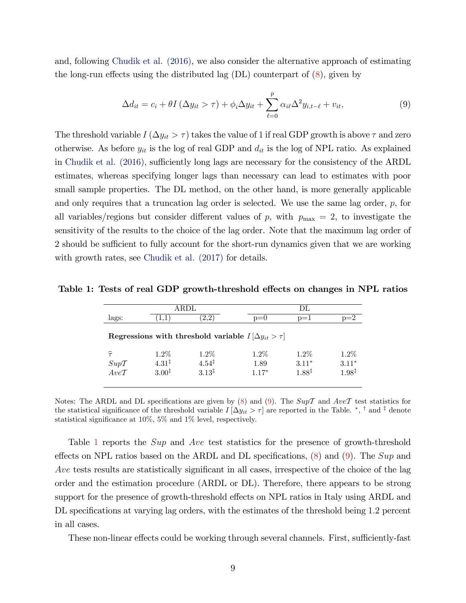and, following [Chudik et al. \(2016\),](#page-14-9) we also consider the alternative approach of estimating the long-run effects using the distributed lag  $(DL)$  counterpart of  $(8)$ , given by

<span id="page-10-0"></span>
$$
\Delta d_{it} = c_i + \theta I \left( \Delta y_{it} > \tau \right) + \phi_i \Delta y_{it} + \sum_{\ell=0}^p \alpha_{i\ell} \Delta^2 y_{i,t-\ell} + v_{it}, \tag{9}
$$

The threshold variable  $I(\Delta y_{it} > \tau)$  takes the value of 1 if real GDP growth is above  $\tau$  and zero otherwise. As before  $y_{it}$  is the log of real GDP and  $d_{it}$  is the log of NPL ratio. As explained in Chudik et al.  $(2016)$ , sufficiently long lags are necessary for the consistency of the ARDL estimates, whereas specifying longer lags than necessary can lead to estimates with poor small sample properties. The DL method, on the other hand, is more generally applicable and only requires that a truncation lag order is selected. We use the same lag order, p, for all variables/regions but consider different values of p, with  $p_{\text{max}} = 2$ , to investigate the sensitivity of the results to the choice of the lag order. Note that the maximum lag order of 2 should be sufficient to fully account for the short-run dynamics given that we are working with growth rates, see Chudik et al.  $(2017)$  for details.

<span id="page-10-1"></span>

|                                                                 | ARDL              |                   |         |         |                   |  |  |  |
|-----------------------------------------------------------------|-------------------|-------------------|---------|---------|-------------------|--|--|--|
| lags:                                                           |                   | 2.2               | $p=0$   | $p=1$   | p=2               |  |  |  |
| Regressions with threshold variable $I[\Delta y_{it} > \tau]$   |                   |                   |         |         |                   |  |  |  |
| $\widehat{\tau}$                                                | $1.2\%$           | $1.2\%$           | $1.2\%$ | $1.2\%$ | $1.2\%$           |  |  |  |
| $\begin{array}{l} Sup\mathcal{T} \\ Ave\mathcal{T} \end{array}$ | $4.31^{\ddagger}$ | $4.54^{\ddagger}$ | 1.89    | $3.11*$ | $3.11*$           |  |  |  |
|                                                                 | $3.00^{\ddagger}$ | $3.13^{\ddagger}$ | $1.17*$ | 1.88‡   | $1.98^{\ddagger}$ |  |  |  |

Table 1: Tests of real GDP growth-threshold effects on changes in NPL ratios

Notes: The ARDL and DL specifications are given by [\(8\)](#page-9-2) and [\(9\)](#page-10-0). The  $Sup\mathcal{T}$  and  $Ave\mathcal{T}$  test statistics for the statistical significance of the threshold variable  $I[\Delta y_{it} > \tau]$  are reported in the Table.<sup>\*</sup>, <sup>†</sup> and <sup>‡</sup> denote statistical significance at  $10\%$ , 5% and  $1\%$  level, respectively.

Table [1](#page-10-1) reports the Sup and Ave test statistics for the presence of growth-threshold effects on NPL ratios based on the ARDL and DL specifications,  $(8)$  and  $(9)$ . The Sup and Ave tests results are statistically significant in all cases, irrespective of the choice of the lag order and the estimation procedure (ARDL or DL). Therefore, there appears to be strong support for the presence of growth-threshold effects on NPL ratios in Italy using ARDL and DL specifications at varying lag orders, with the estimates of the threshold being 1.2 percent in all cases.

These non-linear effects could be working through several channels. First, sufficiently-fast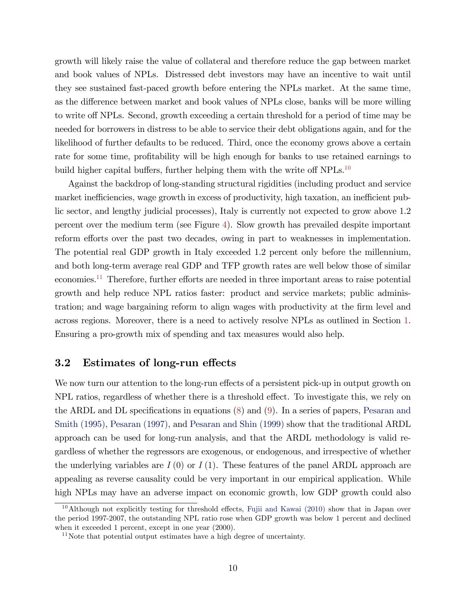growth will likely raise the value of collateral and therefore reduce the gap between market and book values of NPLs. Distressed debt investors may have an incentive to wait until they see sustained fast-paced growth before entering the NPLs market. At the same time, as the difference between market and book values of NPLs close, banks will be more willing to write off NPLs. Second, growth exceeding a certain threshold for a period of time may be needed for borrowers in distress to be able to service their debt obligations again, and for the likelihood of further defaults to be reduced. Third, once the economy grows above a certain rate for some time, profitability will be high enough for banks to use retained earnings to build higher capital buffers, further helping them with the write of  $NPLs$ <sup>[10](#page-1-0)</sup>

Against the backdrop of long-standing structural rigidities (including product and service market inefficiencies, wage growth in excess of productivity, high taxation, an inefficient public sector, and lengthy judicial processes), Italy is currently not expected to grow above 1.2 percent over the medium term (see Figure [4\)](#page-6-0). Slow growth has prevailed despite important reform efforts over the past two decades, owing in part to weaknesses in implementation. The potential real GDP growth in Italy exceeded 1.2 percent only before the millennium, and both long-term average real GDP and TFP growth rates are well below those of similar economies.<sup>[11](#page-1-0)</sup> Therefore, further efforts are needed in three important areas to raise potential growth and help reduce NPL ratios faster: product and service markets; public administration; and wage bargaining reform to align wages with productivity at the firm level and across regions. Moreover, there is a need to actively resolve NPLs as outlined in Section [1.](#page-2-0) Ensuring a pro-growth mix of spending and tax measures would also help.

#### 3.2 Estimates of long-run effects

We now turn our attention to the long-run effects of a persistent pick-up in output growth on NPL ratios, regardless of whether there is a threshold effect. To investigate this, we rely on the ARDL and DL specifications in equations  $(8)$  and  $(9)$ . In a series of papers, [Pesaran and](#page-15-9) [Smith \(1995\),](#page-15-9) [Pesaran \(1997\),](#page-15-10) and [Pesaran and Shin \(1999\)](#page-15-11) show that the traditional ARDL approach can be used for long-run analysis, and that the ARDL methodology is valid regardless of whether the regressors are exogenous, or endogenous, and irrespective of whether the underlying variables are  $I(0)$  or  $I(1)$ . These features of the panel ARDL approach are appealing as reverse causality could be very important in our empirical application. While high NPLs may have an adverse impact on economic growth, low GDP growth could also

<sup>&</sup>lt;sup>10</sup>Although not explicitly testing for threshold effects, [Fujii and Kawai \(2010\)](#page-14-10) show that in Japan over the period 1997-2007, the outstanding NPL ratio rose when GDP growth was below 1 percent and declined when it exceeded 1 percent, except in one year (2000).

<sup>&</sup>lt;sup>11</sup>Note that potential output estimates have a high degree of uncertainty.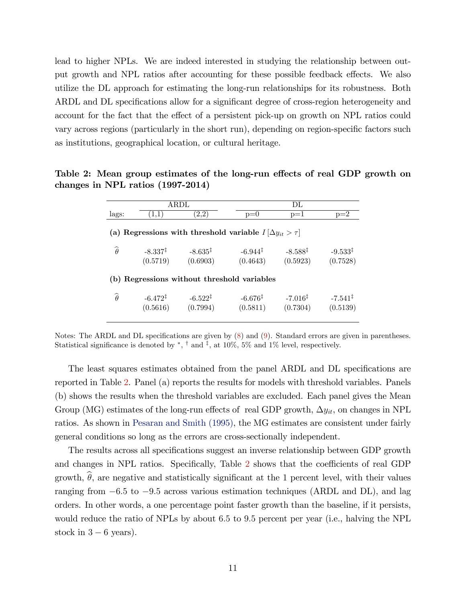lead to higher NPLs. We are indeed interested in studying the relationship between output growth and NPL ratios after accounting for these possible feedback effects. We also utilize the DL approach for estimating the long-run relationships for its robustness. Both ARDL and DL specifications allow for a significant degree of cross-region heterogeneity and account for the fact that the effect of a persistent pick-up on growth on NPL ratios could vary across regions (particularly in the short run), depending on region-specific factors such as institutions, geographical location, or cultural heritage.

Table 2: Mean group estimates of the long-run effects of real GDP growth on changes in NPL ratios (1997-2014)

<span id="page-12-0"></span>

|                                                                   | ARDL                            |                                   |                                 | DL                              |                                   |  |  |
|-------------------------------------------------------------------|---------------------------------|-----------------------------------|---------------------------------|---------------------------------|-----------------------------------|--|--|
| lags:                                                             | (1,1)                           | (2,2)                             | $p=0$                           | $p=1$                           | $p=2$                             |  |  |
| (a) Regressions with threshold variable $I[\Delta y_{it} > \tau]$ |                                 |                                   |                                 |                                 |                                   |  |  |
| $\widehat{\theta}$                                                | $-8.337^{\ddagger}$<br>(0.5719) | $-8.635^{\ddagger}$<br>(0.6903)   | $-6.944^{\ddagger}$<br>(0.4643) | $-8.588^{\ddagger}$<br>(0.5923) | $-9.533^{\ddagger}$<br>(0.7528)   |  |  |
| (b) Regressions without threshold variables                       |                                 |                                   |                                 |                                 |                                   |  |  |
| $\widehat{\theta}$                                                | $-6.472^{\ddagger}$<br>(0.5616) | $-6.522$ <sup>‡</sup><br>(0.7994) | $-6.676^{\ddagger}$<br>(0.5811) | $-7.016^{\ddagger}$<br>(0.7304) | $-7.541$ <sup>‡</sup><br>(0.5139) |  |  |

Notes: The ARDL and DL specifications are given by  $(8)$  and  $(9)$ . Standard errors are given in parentheses. Statistical significance is denoted by  $\ast$ ,  $\dagger$  and  $\ast$ , at 10%, 5% and 1% level, respectively.

The least squares estimates obtained from the panel ARDL and DL specifications are reported in Table [2.](#page-12-0) Panel (a) reports the results for models with threshold variables. Panels (b) shows the results when the threshold variables are excluded. Each panel gives the Mean Group (MG) estimates of the long-run effects of real GDP growth,  $\Delta y_{it}$ , on changes in NPL ratios. As shown in [Pesaran and Smith \(1995\),](#page-15-9) the MG estimates are consistent under fairly general conditions so long as the errors are cross-sectionally independent.

The results across all specifications suggest an inverse relationship between GDP growth and changes in NPL ratios. Specifically, Table  $2$  shows that the coefficients of real GDP growth,  $\hat{\theta}$ , are negative and statistically significant at the 1 percent level, with their values ranging from  $-6.5$  to  $-9.5$  across various estimation techniques (ARDL and DL), and lag orders. In other words, a one percentage point faster growth than the baseline, if it persists, would reduce the ratio of NPLs by about 6.5 to 9.5 percent per year (i.e., halving the NPL stock in  $3 - 6$  years).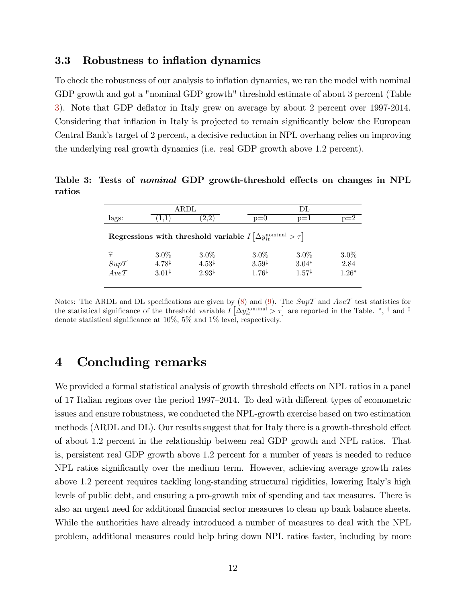#### 3.3 Robustness to inflation dynamics

To check the robustness of our analysis to ináation dynamics, we ran the model with nominal GDP growth and got a "nominal GDP growth" threshold estimate of about 3 percent (Table [3\)](#page-13-1). Note that GDP deáator in Italy grew on average by about 2 percent over 1997-2014. Considering that inflation in Italy is projected to remain significantly below the European Central Bank's target of 2 percent, a decisive reduction in NPL overhang relies on improving the underlying real growth dynamics (i.e. real GDP growth above 1.2 percent).

Table 3: Tests of *nominal* GDP growth-threshold effects on changes in NPL ratios

<span id="page-13-1"></span>

|                                                                                           |                   | ARDL                         |                   | DL                |         |  |  |  |
|-------------------------------------------------------------------------------------------|-------------------|------------------------------|-------------------|-------------------|---------|--|--|--|
| lags:                                                                                     | 1,1)              | (2,2)                        | $p=0$             | $p=1$             | $p=2$   |  |  |  |
| Regressions with threshold variable $I\left[\Delta y_{it}^{\text{nominal}} > \tau\right]$ |                   |                              |                   |                   |         |  |  |  |
| $\widehat{\tau}$                                                                          | $3.0\%$           | $3.0\%$                      | $3.0\%$           | $3.0\%$           | $3.0\%$ |  |  |  |
|                                                                                           | $4.78^{\ddagger}$ |                              | $3.59^{\ddagger}$ | $3.04*$           | 2.84    |  |  |  |
|                                                                                           | $3.01^{\ddagger}$ |                              | $1.76^{\ddagger}$ | $1.57^{\ddagger}$ | $1.26*$ |  |  |  |
| $\begin{array}{l} Sup\mathcal{T} \\ Ave\mathcal{T} \end{array}$                           |                   | $4.53^{\ddagger}$<br>$2.93*$ |                   |                   |         |  |  |  |

Notes: The ARDL and DL specifications are given by [\(8\)](#page-9-2) and [\(9\)](#page-10-0). The  $Sup\mathcal{T}$  and  $Ave\mathcal{T}$  test statistics for the statistical significance of the threshold variable  $I\left[\Delta y_{it}^{\text{nominal}} > \tau\right]$  are reported in the Table.<sup>\*</sup>, <sup>†</sup> and <sup>‡</sup> denote statistical significance at  $10\%$ ,  $5\%$  and  $1\%$  level, respectively.

## <span id="page-13-0"></span>4 Concluding remarks

We provided a formal statistical analysis of growth threshold effects on NPL ratios in a panel of 17 Italian regions over the period 1997–2014. To deal with different types of econometric issues and ensure robustness, we conducted the NPL-growth exercise based on two estimation methods  $(ARDL and DL)$ . Our results suggest that for Italy there is a growth-threshold effect of about 1.2 percent in the relationship between real GDP growth and NPL ratios. That is, persistent real GDP growth above 1.2 percent for a number of years is needed to reduce NPL ratios significantly over the medium term. However, achieving average growth rates above 1.2 percent requires tackling long-standing structural rigidities, lowering Italy's high levels of public debt, and ensuring a pro-growth mix of spending and tax measures. There is also an urgent need for additional financial sector measures to clean up bank balance sheets. While the authorities have already introduced a number of measures to deal with the NPL problem, additional measures could help bring down NPL ratios faster, including by more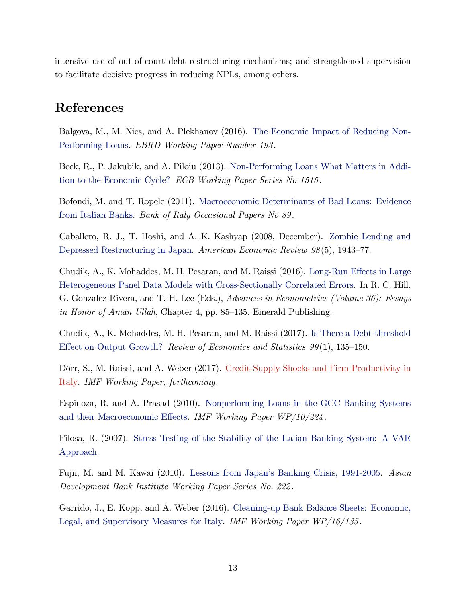intensive use of out-of-court debt restructuring mechanisms; and strengthened supervision to facilitate decisive progress in reducing NPLs, among others.

## References

<span id="page-14-3"></span>Balgova, M., M. Nies, and A. Plekhanov (2016). [The Economic Impact of Reducing Non-](http://www.ebrd.com/publications/working-papers/economic-impact.html)[Performing Loans.](http://www.ebrd.com/publications/working-papers/economic-impact.html) EBRD Working Paper Number 193 .

<span id="page-14-4"></span>Beck, R., P. Jakubik, and A. Piloiu (2013). [Non-Performing Loans What Matters in Addi](https://www.ecb.europa.eu/pub/pdf/scpwps/ecbwp1515.pdf?acd1786abd6d2bd9b992504c6d714c7b)[tion to the Economic Cycle?](https://www.ecb.europa.eu/pub/pdf/scpwps/ecbwp1515.pdf?acd1786abd6d2bd9b992504c6d714c7b) ECB Working Paper Series No 1515 .

<span id="page-14-7"></span>Bofondi, M. and T. Ropele (2011). [Macroeconomic Determinants of Bad Loans: Evidence](https://www.bancaditalia.it/pubblicazioni/qef/2011-0089/QEF_89.pdf?language_id=1) [from Italian Banks.](https://www.bancaditalia.it/pubblicazioni/qef/2011-0089/QEF_89.pdf?language_id=1) Bank of Italy Occasional Papers No 89 .

<span id="page-14-0"></span>Caballero, R. J., T. Hoshi, and A. K. Kashyap (2008, December). [Zombie Lending and](http://dx.doi.org/10.1257/aer.98.5.1943) [Depressed Restructuring in Japan.](http://dx.doi.org/10.1257/aer.98.5.1943) American Economic Review  $98(5)$ , 1943–77.

<span id="page-14-9"></span>Chudik, A., K. Mohaddes, M. H. Pesaran, and M. Raissi (2016). Long-Run Effects in Large [Heterogeneous Panel Data Models with Cross-Sectionally Correlated Errors.](http://www.dallasfed.org/assets/documents/institute/wpapers/2015/0223.pdf) In R. C. Hill, G. Gonzalez-Rivera, and T.-H. Lee (Eds.), Advances in Econometrics (Volume 36): Essays in Honor of Aman Ullah, Chapter 4, pp. 85–135. Emerald Publishing.

<span id="page-14-8"></span>Chudik, A., K. Mohaddes, M. H. Pesaran, and M. Raissi (2017). [Is There a Debt-threshold](http://dx.doi.org/10.1162/REST_a_00593) Effect on Output Growth? Review of Economics and Statistics  $99(1)$ , 135–150.

<span id="page-14-1"></span>Dörr, S., M. Raissi, and A. Weber (2017). [Credit-Supply Shocks and Firm Productivity in](#page-1-0) [Italy.](#page-1-0) IMF Working Paper, forthcoming.

<span id="page-14-5"></span>Espinoza, R. and A. Prasad (2010). [Nonperforming Loans in the GCC Banking Systems](http://www.imf.org/external/pubs/ft/wp/2010/wp10224.pdf) and their Macroeconomic Effects. IMF Working Paper  $WP/10/224$ .

<span id="page-14-2"></span>Filosa, R. (2007). [Stress Testing of the Stability of the Italian Banking System: A VAR](http://morespace.unimore.it/giuseppemarotta/wp-content/uploads/sites/12/2014/11/filosa1.pdf) [Approach.](http://morespace.unimore.it/giuseppemarotta/wp-content/uploads/sites/12/2014/11/filosa1.pdf)

<span id="page-14-10"></span>Fujii, M. and M. Kawai (2010). [Lessons from Japanís Banking Crisis, 1991-2005.](https://www.adb.org/sites/default/files/publication/156077/adbi-wp222.pdf) Asian Development Bank Institute Working Paper Series No. 222 .

<span id="page-14-6"></span>Garrido, J., E. Kopp, and A. Weber (2016). [Cleaning-up Bank Balance Sheets: Economic,](https://www.imf.org/external/pubs/ft/wp/2016/wp16135.pdf) [Legal, and Supervisory Measures for Italy.](https://www.imf.org/external/pubs/ft/wp/2016/wp16135.pdf) IMF Working Paper WP/16/135 .